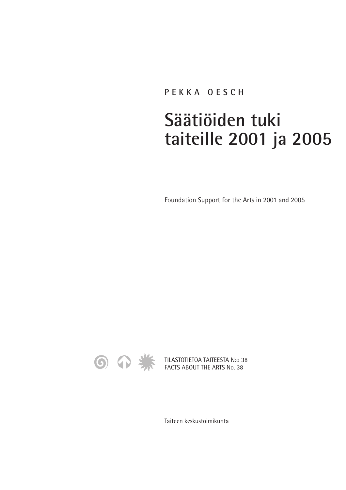## **PEKKA OESCH**

## **Säätiöiden tuki taiteille 2001 ja 2005**

Foundation Support for the Arts in 2001 and 2005



TILASTOTIETOA TAITEESTA N:o 38 FACTS ABOUT THE ARTS No. 38

Taiteen keskustoimikunta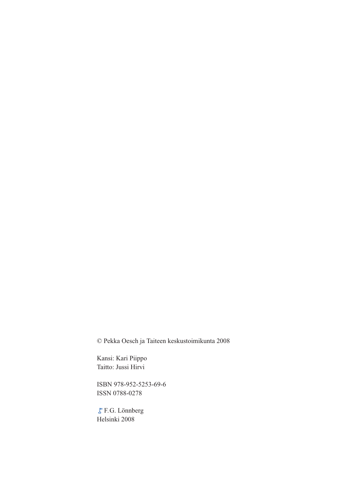© Pekka Oesch ja Taiteen keskustoimikunta 2008

Kansi: Kari Piippo Taitto: Jussi Hirvi

ISBN 978-952-5253-69-6 ISSN 0788-0278

F.G. Lönnberg Helsinki 2008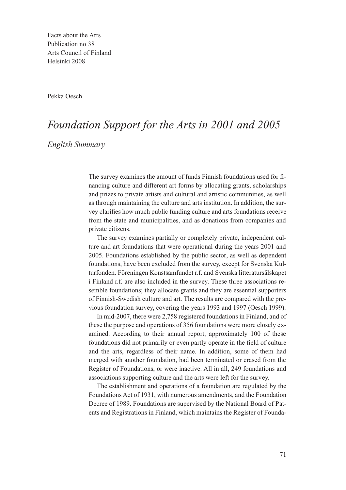Facts about the Arts Publication no 38 Arts Council of Finland Helsinki 2008

Pekka Oesch

## *Foundation Support for the Arts in 2001 and 2005*

*English Summary*

The survey examines the amount of funds Finnish foundations used for financing culture and different art forms by allocating grants, scholarships and prizes to private artists and cultural and artistic communities, as well as through maintaining the culture and arts institution. In addition, the survey clarifies how much public funding culture and arts foundations receive from the state and municipalities, and as donations from companies and private citizens.

The survey examines partially or completely private, independent culture and art foundations that were operational during the years 2001 and 2005. Foundations established by the public sector, as well as dependent foundations, have been excluded from the survey, except for Svenska Kulturfonden. Föreningen Konstsamfundet r.f. and Svenska litteratursälskapet i Finland r.f. are also included in the survey. These three associations resemble foundations; they allocate grants and they are essential supporters of Finnish-Swedish culture and art. The results are compared with the previous foundation survey, covering the years 1993 and 1997 (Oesch 1999).

In mid-2007, there were 2,758 registered foundations in Finland, and of these the purpose and operations of 356 foundations were more closely examined. According to their annual report, approximately 100 of these foundations did not primarily or even partly operate in the field of culture and the arts, regardless of their name. In addition, some of them had merged with another foundation, had been terminated or erased from the Register of Foundations, or were inactive. All in all, 249 foundations and associations supporting culture and the arts were left for the survey.

The establishment and operations of a foundation are regulated by the Foundations Act of 1931, with numerous amendments, and the Foundation Decree of 1989. Foundations are supervised by the National Board of Patents and Registrations in Finland, which maintains the Register of Founda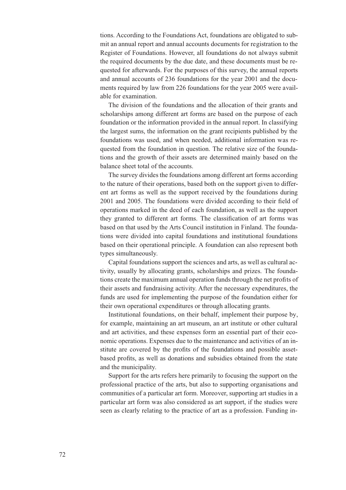tions. According to the Foundations Act, foundations are obligated to submit an annual report and annual accounts documents for registration to the Register of Foundations. However, all foundations do not always submit the required documents by the due date, and these documents must be requested for afterwards. For the purposes of this survey, the annual reports and annual accounts of 236 foundations for the year 2001 and the documents required by law from 226 foundations for the year 2005 were available for examination.

The division of the foundations and the allocation of their grants and scholarships among different art forms are based on the purpose of each foundation or the information provided in the annual report. In classifying the largest sums, the information on the grant recipients published by the foundations was used, and when needed, additional information was requested from the foundation in question. The relative size of the foundations and the growth of their assets are determined mainly based on the balance sheet total of the accounts.

The survey divides the foundations among different art forms according to the nature of their operations, based both on the support given to different art forms as well as the support received by the foundations during 2001 and 2005. The foundations were divided according to their field of operations marked in the deed of each foundation, as well as the support they granted to different art forms. The classification of art forms was based on that used by the Arts Council institution in Finland. The foundations were divided into capital foundations and institutional foundations based on their operational principle. A foundation can also represent both types simultaneously.

Capital foundations support the sciences and arts, as well as cultural activity, usually by allocating grants, scholarships and prizes. The foundations create the maximum annual operation funds through the net profits of their assets and fundraising activity. After the necessary expenditures, the funds are used for implementing the purpose of the foundation either for their own operational expenditures or through allocating grants.

Institutional foundations, on their behalf, implement their purpose by, for example, maintaining an art museum, an art institute or other cultural and art activities, and these expenses form an essential part of their economic operations. Expenses due to the maintenance and activities of an institute are covered by the profits of the foundations and possible assetbased profits, as well as donations and subsidies obtained from the state and the municipality.

Support for the arts refers here primarily to focusing the support on the professional practice of the arts, but also to supporting organisations and communities of a particular art form. Moreover, supporting art studies in a particular art form was also considered as art support, if the studies were seen as clearly relating to the practice of art as a profession. Funding in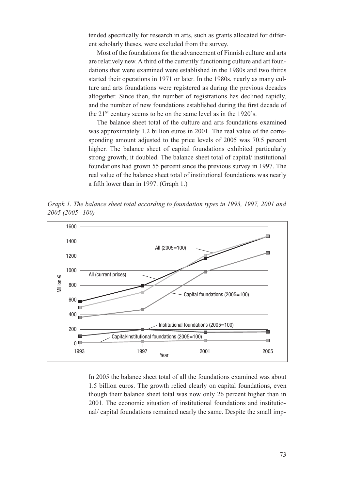tended specifically for research in arts, such as grants allocated for different scholarly theses, were excluded from the survey.

Most of the foundations for the advancement of Finnish culture and arts are relatively new. A third of the currently functioning culture and art foundations that were examined were established in the 1980s and two thirds started their operations in 1971 or later. In the 1980s, nearly as many culture and arts foundations were registered as during the previous decades altogether. Since then, the number of registrations has declined rapidly, and the number of new foundations established during the first decade of the  $21<sup>st</sup>$  century seems to be on the same level as in the 1920's.

The balance sheet total of the culture and arts foundations examined was approximately 1.2 billion euros in 2001. The real value of the corresponding amount adjusted to the price levels of 2005 was 70.5 percent higher. The balance sheet of capital foundations exhibited particularly strong growth; it doubled. The balance sheet total of capital/ institutional foundations had grown 55 percent since the previous survey in 1997. The real value of the balance sheet total of institutional foundations was nearly a fifth lower than in 1997. (Graph 1.)

*Graph 1. The balance sheet total according to foundation types in 1993, 1997, 2001 and 2005 (2005=100)*



In 2005 the balance sheet total of all the foundations examined was about 1.5 billion euros. The growth relied clearly on capital foundations, even though their balance sheet total was now only 26 percent higher than in 2001. The economic situation of institutional foundations and institutional/ capital foundations remained nearly the same. Despite the small imp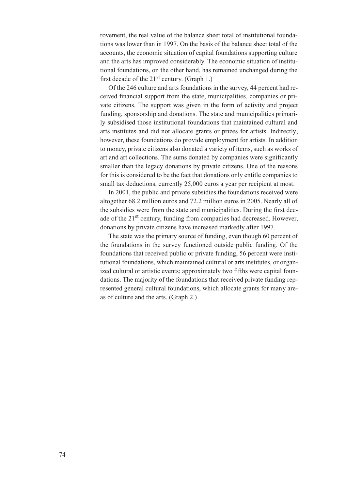rovement, the real value of the balance sheet total of institutional foundations was lower than in 1997. On the basis of the balance sheet total of the accounts, the economic situation of capital foundations supporting culture and the arts has improved considerably. The economic situation of institutional foundations, on the other hand, has remained unchanged during the first decade of the  $21<sup>st</sup>$  century. (Graph 1.)

Of the 246 culture and arts foundations in the survey, 44 percent had received financial support from the state, municipalities, companies or private citizens. The support was given in the form of activity and project funding, sponsorship and donations. The state and municipalities primarily subsidised those institutional foundations that maintained cultural and arts institutes and did not allocate grants or prizes for artists. Indirectly, however, these foundations do provide employment for artists. In addition to money, private citizens also donated a variety of items, such as works of art and art collections. The sums donated by companies were significantly smaller than the legacy donations by private citizens. One of the reasons for this is considered to be the fact that donations only entitle companies to small tax deductions, currently 25,000 euros a year per recipient at most.

In 2001, the public and private subsidies the foundations received were altogether 68.2 million euros and 72.2 million euros in 2005. Nearly all of the subsidies were from the state and municipalities. During the first decade of the 21<sup>st</sup> century, funding from companies had decreased. However, donations by private citizens have increased markedly after 1997.

The state was the primary source of funding, even though 60 percent of the foundations in the survey functioned outside public funding. Of the foundations that received public or private funding, 56 percent were institutional foundations, which maintained cultural or arts institutes, or organized cultural or artistic events; approximately two fifths were capital foundations. The majority of the foundations that received private funding represented general cultural foundations, which allocate grants for many areas of culture and the arts. (Graph 2.)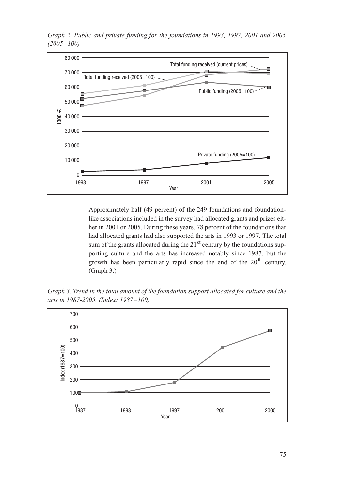

*Graph 2. Public and private funding for the foundations in 1993, 1997, 2001 and 2005 (2005=100)*

Approximately half (49 percent) of the 249 foundations and foundationlike associations included in the survey had allocated grants and prizes either in 2001 or 2005. During these years, 78 percent of the foundations that had allocated grants had also supported the arts in 1993 or 1997. The total sum of the grants allocated during the  $21<sup>st</sup>$  century by the foundations supporting culture and the arts has increased notably since 1987, but the growth has been particularly rapid since the end of the  $20<sup>th</sup>$  century. (Graph 3.)

*Graph 3. Trend in the total amount of the foundation support allocated for culture and the arts in 1987-2005. (Index: 1987=100)* 

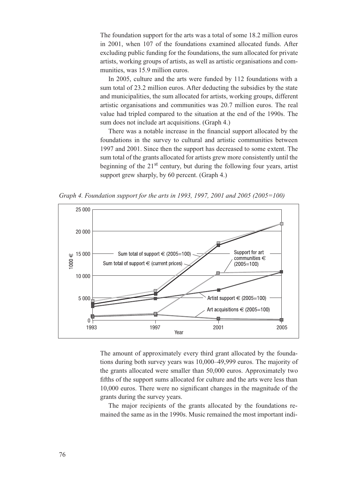The foundation support for the arts was a total of some 18.2 million euros in 2001, when 107 of the foundations examined allocated funds. After excluding public funding for the foundations, the sum allocated for private artists, working groups of artists, as well as artistic organisations and communities, was 15.9 million euros.

In 2005, culture and the arts were funded by 112 foundations with a sum total of 23.2 million euros. After deducting the subsidies by the state and municipalities, the sum allocated for artists, working groups, different artistic organisations and communities was 20.7 million euros. The real value had tripled compared to the situation at the end of the 1990s. The sum does not include art acquisitions. (Graph 4.)

There was a notable increase in the financial support allocated by the foundations in the survey to cultural and artistic communities between 1997 and 2001. Since then the support has decreased to some extent. The sum total of the grants allocated for artists grew more consistently until the beginning of the  $21<sup>st</sup>$  century, but during the following four years, artist support grew sharply, by 60 percent. (Graph 4.)

*Graph 4. Foundation support for the arts in 1993, 1997, 2001 and 2005 (2005=100)*



The amount of approximately every third grant allocated by the foundations during both survey years was 10,000–49,999 euros. The majority of the grants allocated were smaller than 50,000 euros. Approximately two fifths of the support sums allocated for culture and the arts were less than 10,000 euros. There were no significant changes in the magnitude of the grants during the survey years.

The major recipients of the grants allocated by the foundations remained the same as in the 1990s. Music remained the most important indi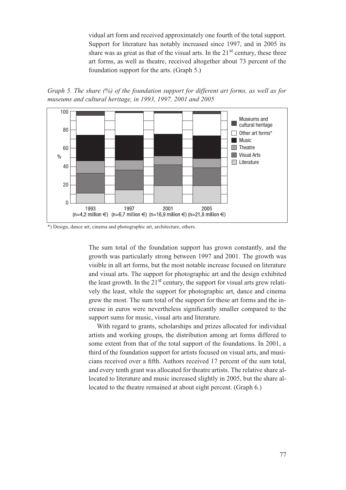vidual art form and received approximately one fourth of the total support. Support for literature has notably increased since 1997, and in 2005 its share was as great as that of the visual arts. In the  $21<sup>st</sup>$  century, these three art forms, as well as theatre, received altogether about 73 percent of the foundation support for the arts. (Graph 5.)

*Graph 5. The share (%) of the foundation support for different art forms, as well as for museums and cultural heritage, in 1993, 1997, 2001 and 2005*



\*) Design, dance art, cinema and photographic art, architecture, others.

The sum total of the foundation support has grown constantly, and the growth was particularly strong between 1997 and 2001. The growth was visible in all art forms, but the most notable increase focused on literature and visual arts. The support for photographic art and the design exhibited the least growth. In the  $21<sup>st</sup>$  century, the support for visual arts grew relatively the least, while the support for photographic art, dance and cinema grew the most. The sum total of the support for these art forms and the increase in euros were nevertheless significantly smaller compared to the support sums for music, visual arts and literature.

With regard to grants, scholarships and prizes allocated for individual artists and working groups, the distribution among art forms differed to some extent from that of the total support of the foundations. In 2001, a third of the foundation support for artists focused on visual arts, and musicians received over a fifth. Authors received 17 percent of the sum total, and every tenth grant was allocated for theatre artists. The relative share allocated to literature and music increased slightly in 2005, but the share allocated to the theatre remained at about eight percent. (Graph 6.)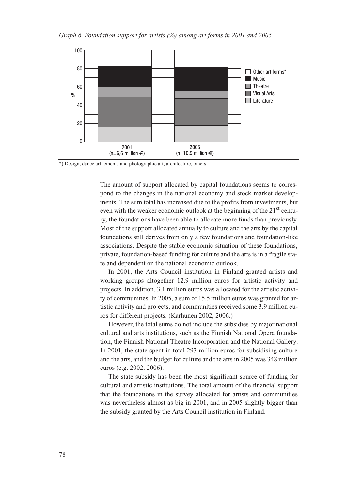

\*) Design, dance art, cinema and photographic art, architecture, others.

The amount of support allocated by capital foundations seems to correspond to the changes in the national economy and stock market developments. The sum total has increased due to the profits from investments, but even with the weaker economic outlook at the beginning of the  $21<sup>st</sup>$  century, the foundations have been able to allocate more funds than previously. Most of the support allocated annually to culture and the arts by the capital foundations still derives from only a few foundations and foundation-like associations. Despite the stable economic situation of these foundations, private, foundation-based funding for culture and the arts is in a fragile state and dependent on the national economic outlook.

In 2001, the Arts Council institution in Finland granted artists and working groups altogether 12.9 million euros for artistic activity and projects. In addition, 3.1 million euros was allocated for the artistic activity of communities. In 2005, a sum of 15.5 million euros was granted for artistic activity and projects, and communities received some 3.9 million euros for different projects. (Karhunen 2002, 2006.)

However, the total sums do not include the subsidies by major national cultural and arts institutions, such as the Finnish National Opera foundation, the Finnish National Theatre Incorporation and the National Gallery. In 2001, the state spent in total 293 million euros for subsidising culture and the arts, and the budget for culture and the arts in 2005 was 348 million euros (e.g. 2002, 2006).

The state subsidy has been the most significant source of funding for cultural and artistic institutions. The total amount of the financial support that the foundations in the survey allocated for artists and communities was nevertheless almost as big in 2001, and in 2005 slightly bigger than the subsidy granted by the Arts Council institution in Finland.